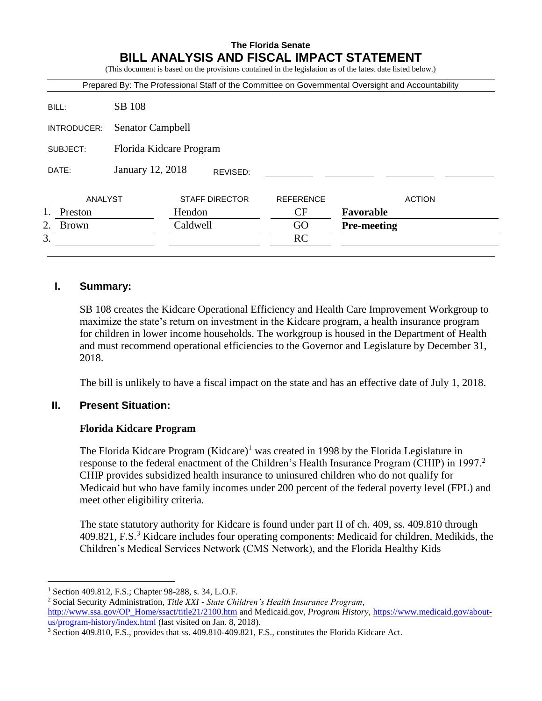# **The Florida Senate BILL ANALYSIS AND FISCAL IMPACT STATEMENT**

(This document is based on the provisions contained in the legislation as of the latest date listed below.)

|                    |                         |          |                       | Prepared By: The Professional Staff of the Committee on Governmental Oversight and Accountability |                    |               |
|--------------------|-------------------------|----------|-----------------------|---------------------------------------------------------------------------------------------------|--------------------|---------------|
| BILL:              | SB 108                  |          |                       |                                                                                                   |                    |               |
| INTRODUCER:        | <b>Senator Campbell</b> |          |                       |                                                                                                   |                    |               |
| SUBJECT:           | Florida Kidcare Program |          |                       |                                                                                                   |                    |               |
| DATE:              | January 12, 2018        |          | REVISED:              |                                                                                                   |                    |               |
| ANALYST            |                         |          | <b>STAFF DIRECTOR</b> | <b>REFERENCE</b>                                                                                  |                    | <b>ACTION</b> |
| 1.<br>Preston      |                         | Hendon   |                       | CF                                                                                                | Favorable          |               |
| 2.<br><b>Brown</b> |                         | Caldwell |                       | GO                                                                                                | <b>Pre-meeting</b> |               |
| 3.                 |                         |          |                       | <b>RC</b>                                                                                         |                    |               |

# **I. Summary:**

SB 108 creates the Kidcare Operational Efficiency and Health Care Improvement Workgroup to maximize the state's return on investment in the Kidcare program, a health insurance program for children in lower income households. The workgroup is housed in the Department of Health and must recommend operational efficiencies to the Governor and Legislature by December 31, 2018.

The bill is unlikely to have a fiscal impact on the state and has an effective date of July 1, 2018.

## **II. Present Situation:**

## **Florida Kidcare Program**

The Florida Kidcare Program  $(Kidcare)^{1}$  was created in 1998 by the Florida Legislature in response to the federal enactment of the Children's Health Insurance Program (CHIP) in 1997.<sup>2</sup> CHIP provides subsidized health insurance to uninsured children who do not qualify for Medicaid but who have family incomes under 200 percent of the federal poverty level (FPL) and meet other eligibility criteria.

The state statutory authority for Kidcare is found under part II of ch. 409, ss. 409.810 through  $409.821$ , F.S.<sup>3</sup> Kidcare includes four operating components: Medicaid for children, Medikids, the Children's Medical Services Network (CMS Network), and the Florida Healthy Kids

 $\overline{a}$ 

<sup>1</sup> Section 409.812, F.S.; Chapter 98-288, s. 34, L.O.F.

<sup>2</sup> Social Security Administration, *Title XXI - State Children's Health Insurance Program,* 

[http://www.ssa.gov/OP\\_Home/ssact/title21/2100.htm](http://www.ssa.gov/OP_Home/ssact/title21/2100.htm) and Medicaid.gov, *Program History*, [https://www.medicaid.gov/about](https://www.medicaid.gov/about-us/program-history/index.html)[us/program-history/index.html](https://www.medicaid.gov/about-us/program-history/index.html) (last visited on Jan. 8, 2018).

<sup>3</sup> Section 409.810, F.S., provides that ss. 409.810-409.821, F.S., constitutes the Florida Kidcare Act.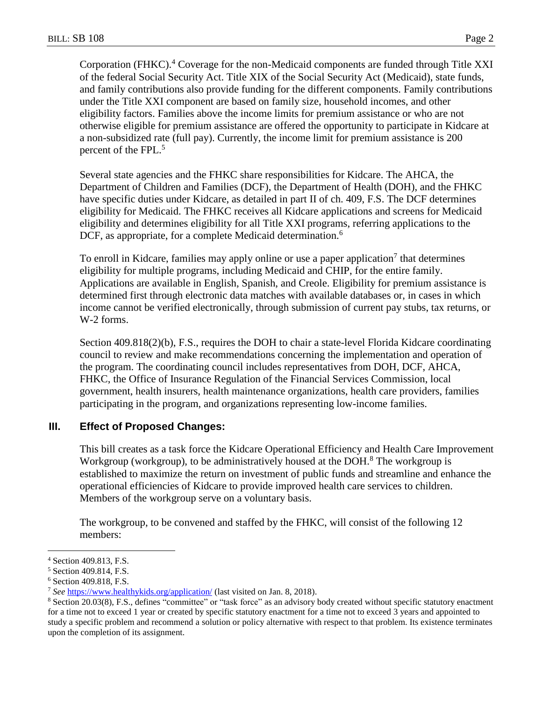Corporation (FHKC).<sup>4</sup> Coverage for the non-Medicaid components are funded through Title XXI of the federal Social Security Act. Title XIX of the Social Security Act (Medicaid), state funds, and family contributions also provide funding for the different components. Family contributions under the Title XXI component are based on family size, household incomes, and other eligibility factors. Families above the income limits for premium assistance or who are not otherwise eligible for premium assistance are offered the opportunity to participate in Kidcare at a non-subsidized rate (full pay). Currently, the income limit for premium assistance is 200 percent of the FPL.<sup>5</sup>

Several state agencies and the FHKC share responsibilities for Kidcare. The AHCA, the Department of Children and Families (DCF), the Department of Health (DOH), and the FHKC have specific duties under Kidcare, as detailed in part II of ch. 409, F.S. The DCF determines eligibility for Medicaid. The FHKC receives all Kidcare applications and screens for Medicaid eligibility and determines eligibility for all Title XXI programs, referring applications to the DCF, as appropriate, for a complete Medicaid determination.<sup>6</sup>

To enroll in Kidcare, families may apply online or use a paper application<sup>7</sup> that determines eligibility for multiple programs, including Medicaid and CHIP, for the entire family. Applications are available in English, Spanish, and Creole. Eligibility for premium assistance is determined first through electronic data matches with available databases or, in cases in which income cannot be verified electronically, through submission of current pay stubs, tax returns, or W-2 forms.

Section 409.818(2)(b), F.S., requires the DOH to chair a state-level Florida Kidcare coordinating council to review and make recommendations concerning the implementation and operation of the program. The coordinating council includes representatives from DOH, DCF, AHCA, FHKC, the Office of Insurance Regulation of the Financial Services Commission, local government, health insurers, health maintenance organizations, health care providers, families participating in the program, and organizations representing low-income families.

## **III. Effect of Proposed Changes:**

This bill creates as a task force the Kidcare Operational Efficiency and Health Care Improvement Workgroup (workgroup), to be administratively housed at the DOH. $8$  The workgroup is established to maximize the return on investment of public funds and streamline and enhance the operational efficiencies of Kidcare to provide improved health care services to children. Members of the workgroup serve on a voluntary basis.

The workgroup, to be convened and staffed by the FHKC, will consist of the following 12 members:

 $\overline{a}$ 

<sup>4</sup> Section 409.813, F.S.

<sup>5</sup> Section 409.814, F.S.

<sup>6</sup> Section 409.818, F.S.

<sup>7</sup> *See* <https://www.healthykids.org/application/> (last visited on Jan. 8, 2018).

<sup>8</sup> Section 20.03(8), F.S., defines "committee" or "task force" as an advisory body created without specific statutory enactment for a time not to exceed 1 year or created by specific statutory enactment for a time not to exceed 3 years and appointed to study a specific problem and recommend a solution or policy alternative with respect to that problem. Its existence terminates upon the completion of its assignment.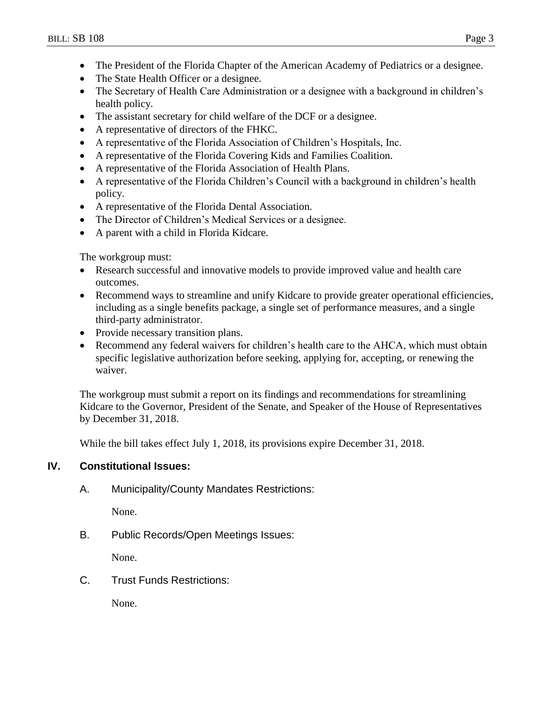- The President of the Florida Chapter of the American Academy of Pediatrics or a designee.
- The State Health Officer or a designee.
- The Secretary of Health Care Administration or a designee with a background in children's health policy.
- The assistant secretary for child welfare of the DCF or a designee.
- A representative of directors of the FHKC.
- A representative of the Florida Association of Children's Hospitals, Inc.
- A representative of the Florida Covering Kids and Families Coalition.
- A representative of the Florida Association of Health Plans.
- A representative of the Florida Children's Council with a background in children's health policy.
- A representative of the Florida Dental Association.
- The Director of Children's Medical Services or a designee.
- A parent with a child in Florida Kidcare.

The workgroup must:

- Research successful and innovative models to provide improved value and health care outcomes.
- Recommend ways to streamline and unify Kidcare to provide greater operational efficiencies, including as a single benefits package, a single set of performance measures, and a single third-party administrator.
- Provide necessary transition plans.
- Recommend any federal waivers for children's health care to the AHCA, which must obtain specific legislative authorization before seeking, applying for, accepting, or renewing the waiver.

The workgroup must submit a report on its findings and recommendations for streamlining Kidcare to the Governor, President of the Senate, and Speaker of the House of Representatives by December 31, 2018.

While the bill takes effect July 1, 2018, its provisions expire December 31, 2018.

## **IV. Constitutional Issues:**

A. Municipality/County Mandates Restrictions:

None.

B. Public Records/Open Meetings Issues:

None.

C. Trust Funds Restrictions:

None.